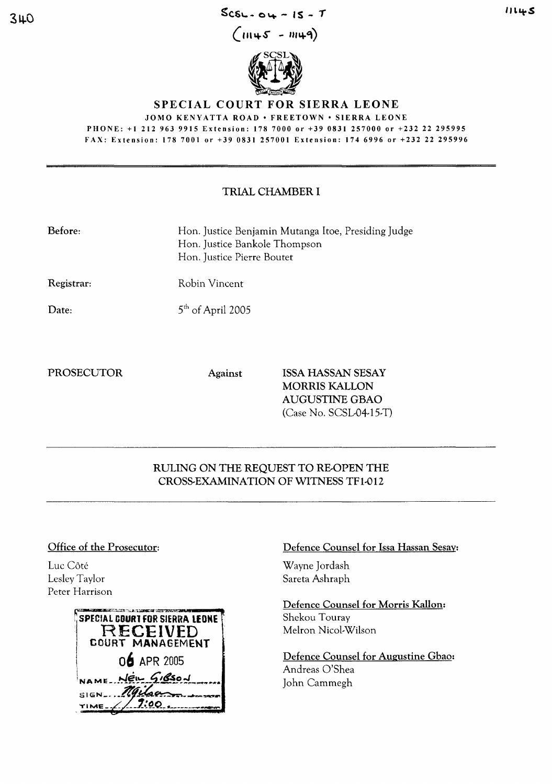$SCSL - O4 - IS - T$ 

 $(m45 - m49)$ 



## SPECIAL COURT FOR SIERRA LEONE

**JOMO KENYATTA ROAD • FREETOWN • SIERRA LEONE** 

PHONE: +1 212 963 9915 Extension: 178 7000 or +39 0831 257000 or +232 22 295995 FAX: Extension: 178 7001 or +39 0831 257001 Extension: 174 6996 or +232 22 295996

## TRIAL CHAMBER I

| Before:    | Hon. Justice Benjamin Mutanga Itoe, Presiding Judge<br>Hon. Justice Bankole Thompson<br>Hon. Justice Pierre Boutet |
|------------|--------------------------------------------------------------------------------------------------------------------|
| Registrar: | Robin Vincent                                                                                                      |
| Date:      | $5th$ of April 2005                                                                                                |

Date:

**PROSECUTOR** 

Against

**ISSA HASSAN SESAY MORRIS KALLON AUGUSTINE GBAO** (Case No. SCSL04-15-T)

# RULING ON THE REQUEST TO RE-OPEN THE CROSS-EXAMINATION OF WITNESS TF1-012

### Office of the Prosecutor:

Luc Côté Lesley Taylor Peter Harrison



# Defence Counsel for Issa Hassan Sesay:

Wayne Jordash Sareta Ashraph

Defence Counsel for Morris Kallon: Shekou Touray Melron Nicol-Wilson

Defence Counsel for Augustine Gbao: Andreas O'Shea John Cammegh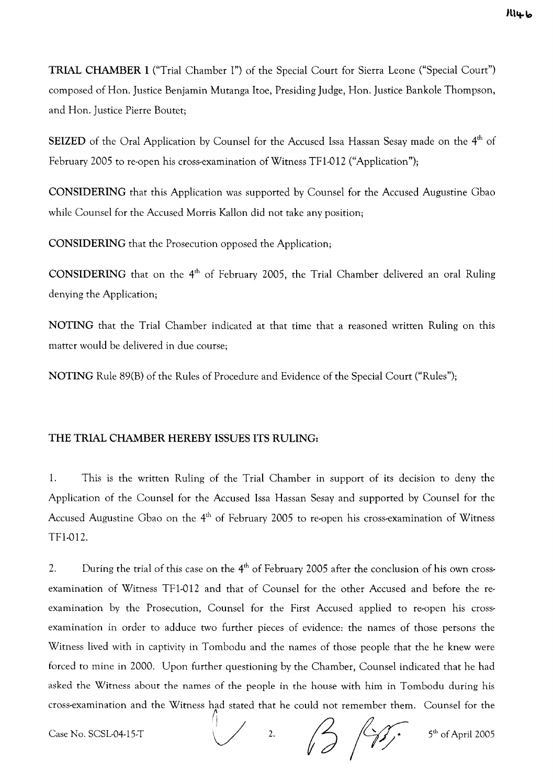TRIAL CHAMBER I ("Trial Chamber I") of the Special Court for Sierra Leone ("Special Court") composed of Hon. Justice Benjamin Mutanga ltoe, Presiding Judge, Hon. Justice Bankole Thompson, and Hon. Justice Pierre Boutet;

SEIZED of the Oral Application by Counsel for the Accused Issa Hassan Sesay made on the 4<sup>th</sup> of February 2005 to re-open his cross-examination of Witness TFl-012 ("Application");

CONSIDERING that this Application was supported by Counsel for the Accused Augustine Gbao while Counsel for the Accused Morris Kallon did not take any position;

CONSIDERING that the Prosecution opposed the Application;

CONSIDERING that on the  $4<sup>th</sup>$  of February 2005, the Trial Chamber delivered an oral Ruling denying the Application;

NOTING that the Trial Chamber indicated at that time that a reasoned written Ruling on this matter would be delivered in due course;

NOTING Rule 89(B) of the Rules of Procedure and Evidence of the Special Court ("Rules");

## THE TRIAL CHAMBER HEREBY ISSUES ITS RULING:

1. This is the written Ruling of the Trial Chamber in support of its decision to deny the Application of the Counsel for the Accused Issa Hassan Sesay and supported by Counsel for the Accused Augustine Gbao on the  $4<sup>th</sup>$  of February 2005 to re-open his cross-examination of Witness TFl-012.

2. During the trial of this case on the  $4<sup>th</sup>$  of February 2005 after the conclusion of his own crossexamination of Witness TFl-O12 and that of Counsel for the other Accused and before the reexamination by the Prosecution, Counsel for the First Accused applied to re-open his crossexamination in order to adduce two further pieces of evidence: the names of those persons the Witness lived with in captivity in Tombodu and the names of those people that the he knew were forced to mine in 2000. Upon further questioning by the Chamber, Counsel indicated that he had asked the Witness about the names of the people in the house with him in Tombodu during his cross-examination and the Witness had stated that he could not remember them. Counsel for the  $\bigcup$ 

Case No. SCSL-04-15-T  $\sqrt{2}$ .

5<sup>th</sup> of April 2005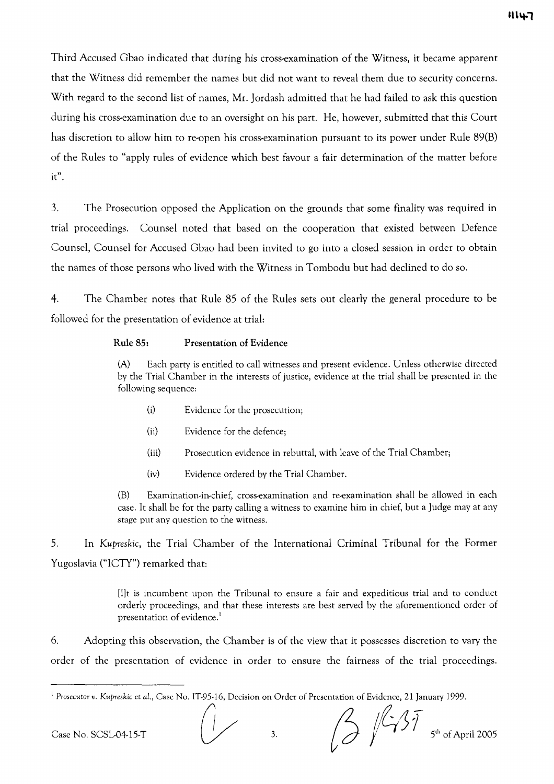Third Accused Gbao indicated that during his cross-examination of the Witness, it became apparent that the Witness did remember the names but did not want to reveal them due to security concerns. With regard to the second list of names, Mr. Jordash admitted that he had failed to ask this question during his cross-examination due to an oversight on his part. He, however, submitted that this Court has discretion to allow him to re-open his cross-examination pursuant to its power under Rule 89(B) of the Rules to "apply rules of evidence which best favour a fair determination of the matter before it" .

3. The Prosecution opposed the Application on the grounds that some finality was required in trial proceedings. Counsel noted that based on the cooperation that existed between Defence Counsel, Counsel for Accused Gbao had been invited to go into a closed session in order to obtain the names of those persons who lived with the Witness in Tombodu but had declined to do so.

4. The Chamber notes that Rule 85 of the Rules sets out clearly the general procedure to be followed for the presentation of evidence at trial:

#### **Rule** 85: Presentation of Evidence

(A) Each party is entitled to call witnesses and present evidence. Unless otherwise directed by the Trial Chamber in the interests of justice, evidence at the trial shall be presented in the following sequence:

- (i) Evidence for the prosecution;
- (ii) Evidence for the defence;
- (iii) Prosecution evidence in rebuttal, with leave of the Trial Chamber;
- (iv) Evidence ordered by the Trial Chamber.

(B) Examination-in-chief, cross-examination and re-examination shall be allowed in each case. It shall be for the party calling a witness to examine him in chief, but a Judge may at any stage put any question to the witness.

5. In *Kupreskic,* the Trial Chamber of the International Criminal Tribunal for the Former Yugoslavia ("ICTY") remarked that:

> [I]t is incumbent upon the Tribunal to ensure a fair and expeditious trial and to conduct orderly proceedings, and that these interests are best served by the aforementioned order of presentation of evidence.<sup>1</sup>

6. Adopting this observation, the Chamber is of the view that it possesses discretion to vary the order of the presentation of evidence in order to ensure the fairness of the trial proceedings.

<sup>&</sup>lt;sup>1</sup> Prosecutor v. Kupreskic et al., Case No. IT-95-16, Decision on Order of Presentation of Evidence, 21 January 1999.  $\overline{(\ }$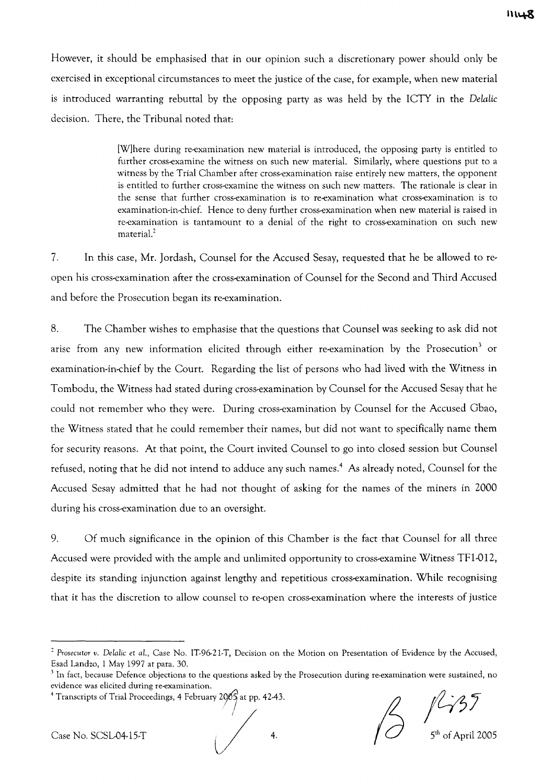However, it should be emphasised that in our opinion such a discretionary power should only be exercised in exceptional circumstances to meet the justice of the case, for example, when new material is introduced warranting rebuttal by the opposing party as was held by the ICTY in the *Delalic* decision. There, the Tribunal noted that:

> [Wjhere during re-examination new material is introduced, the opposing party is entitled to further cross-examine the witness on such new material. Similarly, where questions put to a witness by the Trial Chamber after cross-examination raise entirely new matters, the opponent is entitled to further cross-examine the witness on such new matters. The rationale is clear in the sense that further cross-examination is to re-examination what cross-examination is to examination-in-chief. Hence to deny further cross-examination when new material is raised in re-examination is tantamount to a denial of the right to cross-examination on such new material.<sup>2</sup>

7. In this case, Mr. ]ordash, Counsel for the Accused Sesay, requested that he be allowed to reopen his cross-examination after the cross-examination of Counsel for the Second and Third Accused and before the Prosecution began its re-examination.

8. The Chamber wishes to emphasise that the questions that Counsel was seeking to ask did not arise from any new information elicited through either re-examination by the Prosecution $^3$  or examination-in-chief by the Court. Regarding the list of persons who had lived with the Witness in Tombodu, the Witness had stated during cross-examination by Counsel for the Accused Sesay that he could not remember who they were. During cross-examination by Counsel for the Accused Gbao, the Witness stated that he could remember their names, but did not want to specifically name them for security reasons. At that point, the Court invited Counsel to go into closed session but Counsel refused, noting that he did not intend to adduce any such names.<sup>4</sup> As already noted, Counsel for the Accused Sesay admitted that he had not thought of asking for the names of the miners in 2000 during his cross-examination due to an oversight.

9. Of much significance in the opinion of this Chamber is the fact that Counsel for all three Accused were provided with the ample and unlimited opportunity to cross-examine Witness TFl-012, despite its standing injunction against lengthy and repetitious cross-examination. While recognising that it has the discretion to allow counsel to re-open cross-examination where the interests of justice

Case No. SCSL-04-15-T  $\overline{)}$  4.  $\overline{)}$  4.  $\overline{)}$  5<sup>th</sup> of April 2005

<sup>&</sup>lt;sup>2</sup> Prosecutor v. Delalic et al., Case No. IT-96-21-T, Decision on the Motion on Presentation of Evidence by the Accused, Esad Landzo, 1 May 1997 at para. 30.

 $3$  In fact, because Defence objections to the questions asked by the Prosecution during re-examination were sustained, no evidence was elicited during re-examination.

<sup>4</sup> Transcripts of Trial Proceedings, 4 February 2005 at pp. 42-43.<br>
Case No. SCSL04-15-T 4.